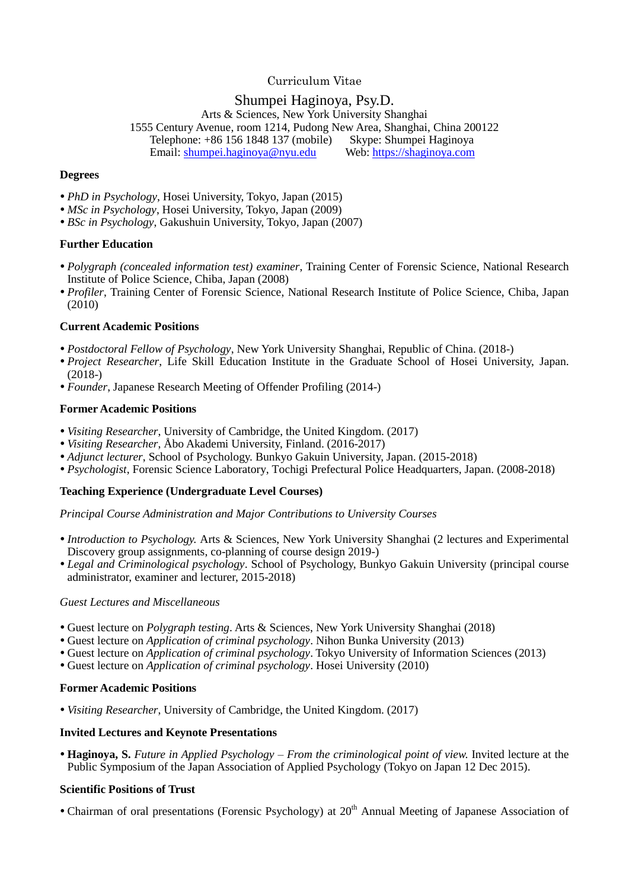## Curriculum Vitae

## Shumpei Haginoya, Psy.D.

Arts & Sciences, New York University Shanghai 1555 Century Avenue, room 1214, Pudong New Area, Shanghai, China 200122 Telephone: +86 156 1848 137 (mobile) Skype: Shumpei Haginoya Email: [shumpei.haginoya@nyu.edu](mailto:shumpei.haginoya@nyu.edu) Web: [https://shaginoya.com](https://shaginoya.com/)

## **Degrees**

- *PhD in Psychology*, Hosei University, Tokyo, Japan (2015)
- *MSc in Psychology*, Hosei University, Tokyo, Japan (2009)
- *BSc in Psychology*, Gakushuin University, Tokyo, Japan (2007)

#### **Further Education**

- *Polygraph (concealed information test) examiner*, Training Center of Forensic Science, National Research Institute of Police Science, Chiba, Japan (2008)
- *Profiler*, Training Center of Forensic Science, National Research Institute of Police Science, Chiba, Japan (2010)

#### **Current Academic Positions**

- *Postdoctoral Fellow of Psychology*, New York University Shanghai, Republic of China. (2018-)
- *Project Researcher*, Life Skill Education Institute in the Graduate School of Hosei University, Japan. (2018-)
- *Founder*, Japanese Research Meeting of Offender Profiling (2014-)

## **Former Academic Positions**

- *Visiting Researcher*, University of Cambridge, the United Kingdom. (2017)
- *Visiting Researcher*, Åbo Akademi University, Finland. (2016-2017)
- *Adjunct lecturer*, School of Psychology. Bunkyo Gakuin University, Japan. (2015-2018)
- *Psychologist*, Forensic Science Laboratory, Tochigi Prefectural Police Headquarters, Japan. (2008-2018)

## **Teaching Experience (Undergraduate Level Courses)**

*Principal Course Administration and Major Contributions to University Courses*

- *Introduction to Psychology.* Arts & Sciences, New York University Shanghai (2 lectures and Experimental Discovery group assignments, co-planning of course design 2019-)
- *Legal and Criminological psychology*. School of Psychology, Bunkyo Gakuin University (principal course administrator, examiner and lecturer, 2015-2018)

## *Guest Lectures and Miscellaneous*

- Guest lecture on *Polygraph testing*. Arts & Sciences, New York University Shanghai (2018)
- Guest lecture on *Application of criminal psychology*. Nihon Bunka University (2013)
- Guest lecture on *Application of criminal psychology*. Tokyo University of Information Sciences (2013)
- Guest lecture on *Application of criminal psychology*. Hosei University (2010)

## **Former Academic Positions**

*Visiting Researcher*, University of Cambridge, the United Kingdom. (2017)

## **Invited Lectures and Keynote Presentations**

 **Haginoya, S.** *Future in Applied Psychology – From the criminological point of view.* Invited lecture at the Public Symposium of the Japan Association of Applied Psychology (Tokyo on Japan 12 Dec 2015).

## **Scientific Positions of Trust**

• Chairman of oral presentations (Forensic Psychology) at 20<sup>th</sup> Annual Meeting of Japanese Association of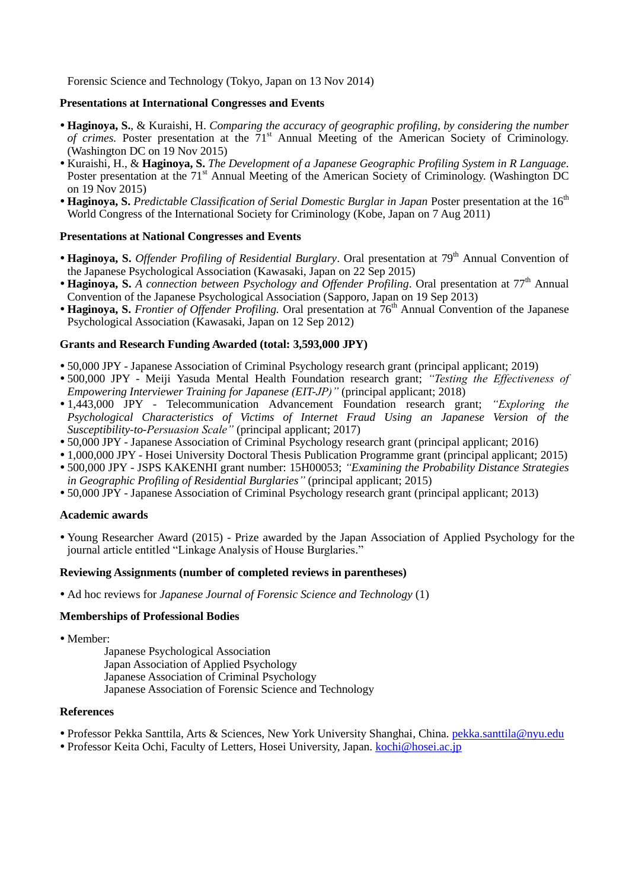Forensic Science and Technology (Tokyo, Japan on 13 Nov 2014)

## **Presentations at International Congresses and Events**

- **Haginoya, S.**, & Kuraishi, H. *Comparing the accuracy of geographic profiling, by considering the number of crimes.* Poster presentation at the  $71<sup>st</sup>$  Annual Meeting of the American Society of Criminology. (Washington DC on 19 Nov 2015)
- Kuraishi, H., & **Haginoya, S.** *The Development of a Japanese Geographic Profiling System in R Language.* Poster presentation at the 71<sup>st</sup> Annual Meeting of the American Society of Criminology. (Washington DC on 19 Nov 2015)
- Haginoya, S. *Predictable Classification of Serial Domestic Burglar in Japan* Poster presentation at the 16<sup>th</sup> World Congress of the International Society for Criminology (Kobe, Japan on 7 Aug 2011)

## **Presentations at National Congresses and Events**

- Haginoya, S. *Offender Profiling of Residential Burglary*. Oral presentation at 79<sup>th</sup> Annual Convention of the Japanese Psychological Association (Kawasaki, Japan on 22 Sep 2015)
- Haginoya, S. *A connection between Psychology and Offender Profiling*. Oral presentation at 77<sup>th</sup> Annual Convention of the Japanese Psychological Association (Sapporo, Japan on 19 Sep 2013)
- Haginoya, S. *Frontier of Offender Profiling*. Oral presentation at  $76<sup>th</sup>$  Annual Convention of the Japanese Psychological Association (Kawasaki, Japan on 12 Sep 2012)

## **Grants and Research Funding Awarded (total: 3,593,000 JPY)**

- 50,000 JPY Japanese Association of Criminal Psychology research grant (principal applicant; 2019)
- 500,000 JPY Meiji Yasuda Mental Health Foundation research grant; *"Testing the Effectiveness of Empowering Interviewer Training for Japanese (EIT-JP)"* (principal applicant; 2018)
- 1,443,000 JPY Telecommunication Advancement Foundation research grant; *"Exploring the Psychological Characteristics of Victims of Internet Fraud Using an Japanese Version of the Susceptibility-to-Persuasion Scale"* (principal applicant; 2017)
- 50,000 JPY Japanese Association of Criminal Psychology research grant (principal applicant; 2016)
- 1,000,000 JPY Hosei University Doctoral Thesis Publication Programme grant (principal applicant; 2015)
- 500,000 JPY JSPS KAKENHI grant number: 15H00053; *"Examining the Probability Distance Strategies in Geographic Profiling of Residential Burglaries"* (principal applicant; 2015)
- 50,000 JPY Japanese Association of Criminal Psychology research grant (principal applicant; 2013)

## **Academic awards**

 Young Researcher Award (2015) - Prize awarded by the Japan Association of Applied Psychology for the journal article entitled "Linkage Analysis of House Burglaries."

## **Reviewing Assignments (number of completed reviews in parentheses)**

Ad hoc reviews for *Japanese Journal of Forensic Science and Technology* (1)

## **Memberships of Professional Bodies**

• Member:

Japanese Psychological Association Japan Association of Applied Psychology Japanese Association of Criminal Psychology Japanese Association of Forensic Science and Technology

## **References**

Professor Pekka Santtila, Arts & Sciences, New York University Shanghai, China. [pekka.santtila@nyu.edu](mailto:pekka.santtila@nyu.edu)

Professor Keita Ochi, Faculty of Letters, Hosei University, Japan. [kochi@hosei.ac.jp](mailto:kochi@hosei.ac.jp)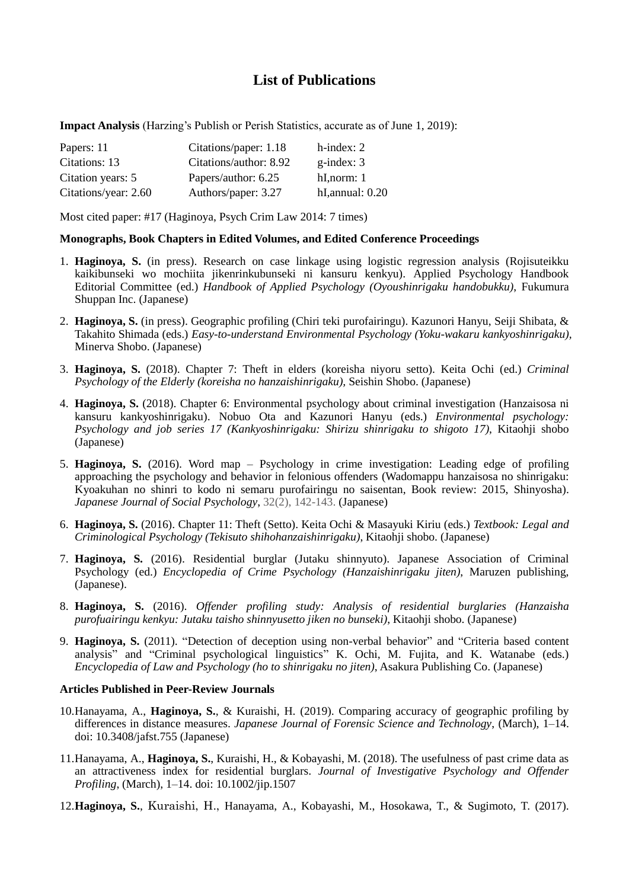# **List of Publications**

**Impact Analysis** (Harzing's Publish or Perish Statistics, accurate as of June 1, 2019):

| Papers: 11           | Citations/paper: 1.18  | $h$ -index: 2         |
|----------------------|------------------------|-----------------------|
| Citations: 13        | Citations/author: 8.92 | $g$ -index: 3         |
| Citation years: 5    | Papers/author: 6.25    | $h$ I, norm: 1        |
| Citations/year: 2.60 | Authors/paper: 3.27    | $h$ I, annual: $0.20$ |

Most cited paper: #17 (Haginoya, Psych Crim Law 2014: 7 times)

#### **Monographs, Book Chapters in Edited Volumes, and Edited Conference Proceedings**

- 1. **Haginoya, S.** (in press). Research on case linkage using logistic regression analysis (Rojisuteikku kaikibunseki wo mochiita jikenrinkubunseki ni kansuru kenkyu). Applied Psychology Handbook Editorial Committee (ed.) *Handbook of Applied Psychology (Oyoushinrigaku handobukku)*, Fukumura Shuppan Inc. (Japanese)
- 2. **Haginoya, S.** (in press). Geographic profiling (Chiri teki purofairingu). Kazunori Hanyu, Seiji Shibata, & Takahito Shimada (eds.) *Easy-to-understand Environmental Psychology (Yoku-wakaru kankyoshinrigaku),* Minerva Shobo. (Japanese)
- 3. **Haginoya, S.** (2018). Chapter 7: Theft in elders (koreisha niyoru setto). Keita Ochi (ed.) *Criminal Psychology of the Elderly (koreisha no hanzaishinrigaku),* Seishin Shobo. (Japanese)
- 4. **Haginoya, S.** (2018). Chapter 6: Environmental psychology about criminal investigation (Hanzaisosa ni kansuru kankyoshinrigaku). Nobuo Ota and Kazunori Hanyu (eds.) *Environmental psychology: Psychology and job series 17 (Kankyoshinrigaku: Shirizu shinrigaku to shigoto 17)*, Kitaohji shobo (Japanese)
- 5. **Haginoya, S.** (2016). Word map Psychology in crime investigation: Leading edge of profiling approaching the psychology and behavior in felonious offenders (Wadomappu hanzaisosa no shinrigaku: Kyoakuhan no shinri to kodo ni semaru purofairingu no saisentan, Book review: 2015, Shinyosha). *Japanese Journal of Social Psychology*, 32(2), 142-143. (Japanese)
- 6. **Haginoya, S.** (2016). Chapter 11: Theft (Setto). Keita Ochi & Masayuki Kiriu (eds.) *Textbook: Legal and Criminological Psychology (Tekisuto shihohanzaishinrigaku)*, Kitaohji shobo. (Japanese)
- 7. **Haginoya, S.** (2016). Residential burglar (Jutaku shinnyuto). Japanese Association of Criminal Psychology (ed.) *Encyclopedia of Crime Psychology (Hanzaishinrigaku jiten)*, Maruzen publishing, (Japanese).
- 8. **Haginoya, S.** (2016). *Offender profiling study: Analysis of residential burglaries (Hanzaisha purofuairingu kenkyu: Jutaku taisho shinnyusetto jiken no bunseki)*, Kitaohji shobo. (Japanese)
- 9. **Haginoya, S.** (2011). "Detection of deception using non-verbal behavior" and "Criteria based content analysis" and "Criminal psychological linguistics" K. Ochi, M. Fujita, and K. Watanabe (eds.) *Encyclopedia of Law and Psychology (ho to shinrigaku no jiten)*, Asakura Publishing Co. (Japanese)

## **Articles Published in Peer-Review Journals**

- 10.Hanayama, A., **Haginoya, S.**, & Kuraishi, H. (2019). Comparing accuracy of geographic profiling by differences in distance measures. *Japanese Journal of Forensic Science and Technology*, (March), 1–14. doi: 10.3408/jafst.755 (Japanese)
- 11.Hanayama, A., **Haginoya, S.**, Kuraishi, H., & Kobayashi, M. (2018). The usefulness of past crime data as an attractiveness index for residential burglars. *Journal of Investigative Psychology and Offender Profiling*, (March), 1–14. doi: 10.1002/jip.1507
- 12.**Haginoya, S.**, Kuraishi, H., Hanayama, A., Kobayashi, M., Hosokawa, T., & Sugimoto, T. (2017).